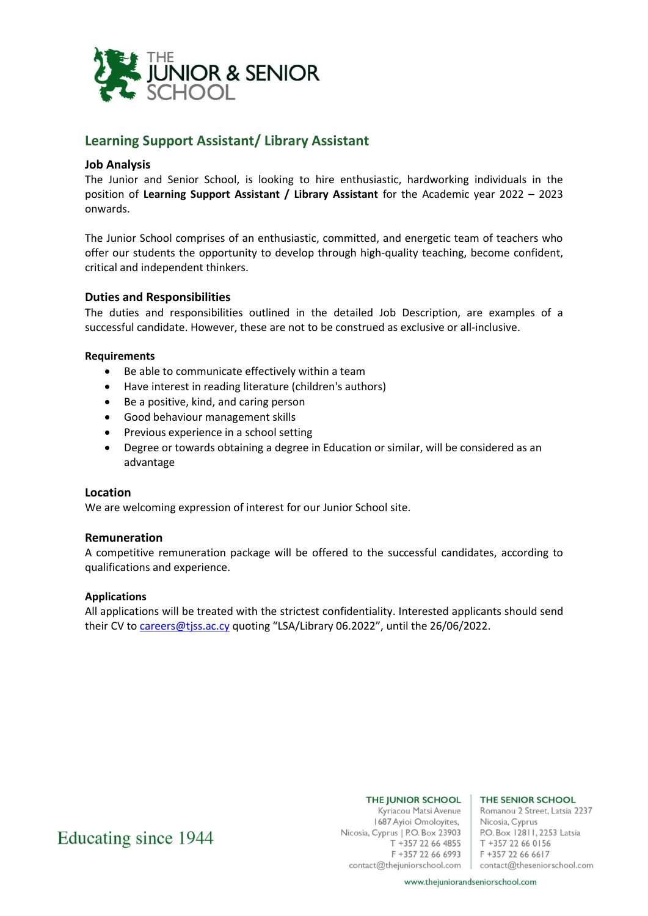

## **Learning Support Assistant/ Library Assistant**

## **Job Analysis**

The Junior and Senior School, is looking to hire enthusiastic, hardworking individuals in the position of **Learning Support Assistant / Library Assistant** for the Academic year 2022 – 2023 onwards.

The Junior School comprises of an enthusiastic, committed, and energetic team of teachers who offer our students the opportunity to develop through high-quality teaching, become confident, critical and independent thinkers.

## **Duties and Responsibilities**

The duties and responsibilities outlined in the detailed Job Description, are examples of a successful candidate. However, these are not to be construed as exclusive or all-inclusive.

## **Requirements**

- Be able to communicate effectively within a team
- Have interest in reading literature (children's authors)
- Be a positive, kind, and caring person
- Good behaviour management skills
- Previous experience in a school setting
- Degree or towards obtaining a degree in Education or similar, will be considered as an advantage

## **Location**

We are welcoming expression of interest for our Junior School site.

## **Remuneration**

A competitive remuneration package will be offered to the successful candidates, according to qualifications and experience.

#### **Applications**

All applications will be treated with the strictest confidentiality. Interested applicants should send their CV to [careers@tjss.ac.cy](mailto:careers@tjss.ac.cy) quoting "LSA/Library 06.2022", until the 26/06/2022.

# Educating since 1944

Kyriacou Matsi Avenue 1687 Ayioi Omoloyites,<br>
Nicosia, Cyprus<br>
Nicosia, Cyprus | P.O. Box 23903<br>
P.O. Box 12811, 2253 Latsia<br>
T. +257 22.66.4955<br>
T. +257 22.66.6156 T +357 22 66 4855<br>
F +357 22 66 6993<br>
F +357 22 66 6617

#### THE JUNIOR SCHOOL | THE SENIOR SCHOOL

Romanou 2 Street, Latsia 2237 T +357 22 66 0156 contact@thejuniorschool.com contact@theseniorschool.com

www.thejuniorandseniorschool.com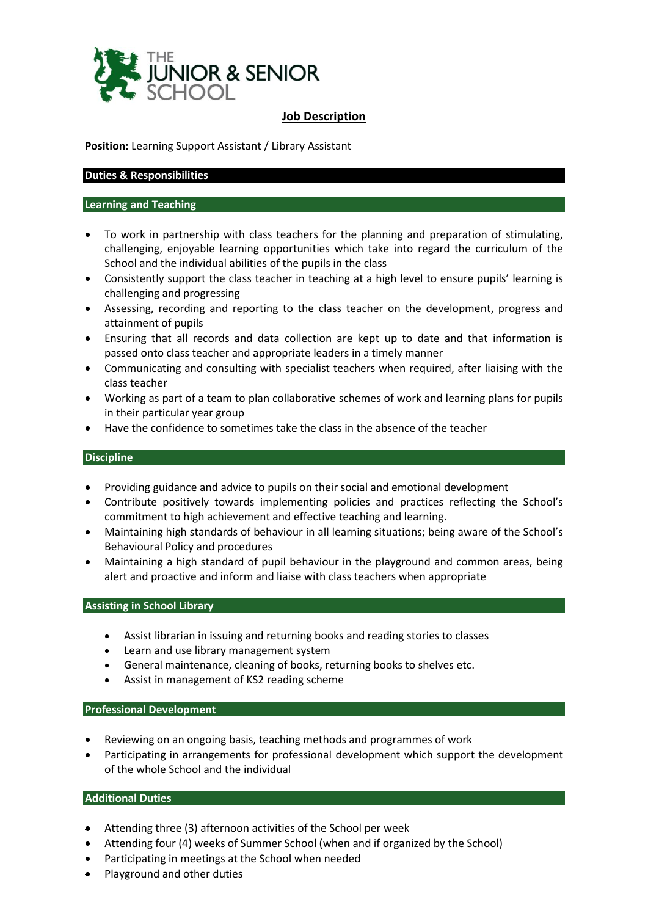

## **Job Description**

**Position:** Learning Support Assistant / Library Assistant

## **Duties & Responsibilities**

## **Learning and Teaching**

- To work in partnership with class teachers for the planning and preparation of stimulating, challenging, enjoyable learning opportunities which take into regard the curriculum of the School and the individual abilities of the pupils in the class
- Consistently support the class teacher in teaching at a high level to ensure pupils' learning is challenging and progressing
- Assessing, recording and reporting to the class teacher on the development, progress and attainment of pupils
- Ensuring that all records and data collection are kept up to date and that information is passed onto class teacher and appropriate leaders in a timely manner
- Communicating and consulting with specialist teachers when required, after liaising with the class teacher
- Working as part of a team to plan collaborative schemes of work and learning plans for pupils in their particular year group
- Have the confidence to sometimes take the class in the absence of the teacher

## **Discipline**

- Providing guidance and advice to pupils on their social and emotional development
- Contribute positively towards implementing policies and practices reflecting the School's commitment to high achievement and effective teaching and learning.
- Maintaining high standards of behaviour in all learning situations; being aware of the School's Behavioural Policy and procedures
- Maintaining a high standard of pupil behaviour in the playground and common areas, being alert and proactive and inform and liaise with class teachers when appropriate

## **Assisting in School Library**

- Assist librarian in issuing and returning books and reading stories to classes
- Learn and use library management system
- General maintenance, cleaning of books, returning books to shelves etc.
- Assist in management of KS2 reading scheme

## **Professional Development**

- Reviewing on an ongoing basis, teaching methods and programmes of work
- Participating in arrangements for professional development which support the development of the whole School and the individual

## **Additional Duties**

- Attending three (3) afternoon activities of the School per week
- Attending four (4) weeks of Summer School (when and if organized by the School)
- Participating in meetings at the School when needed
- Playground and other duties